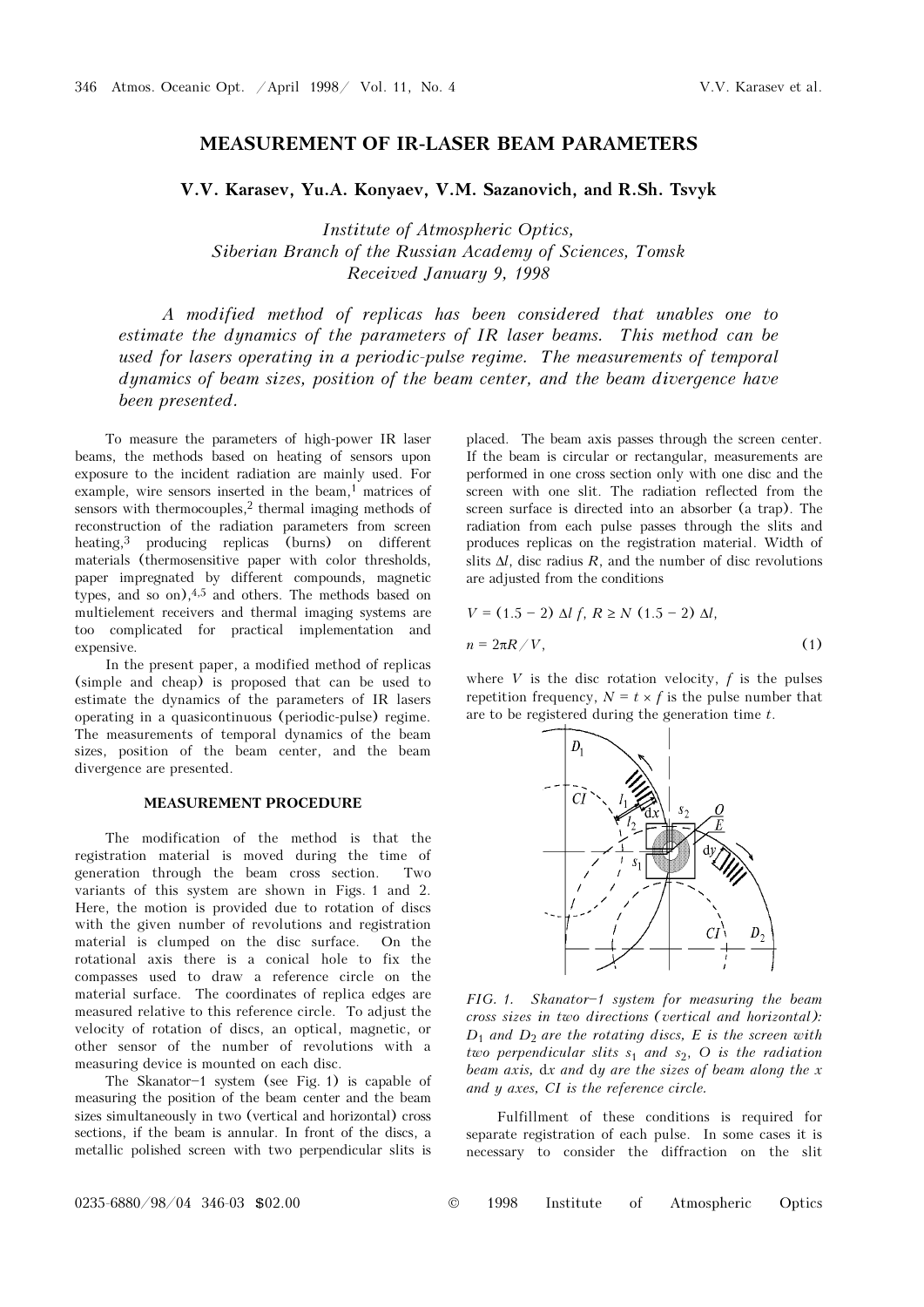# MEASUREMENT OF IR-LASER BEAM PARAMETERS

## V.V. Karasev, Yu.A. Konyaev, V.M. Sazanovich, and R.Sh. Tsvyk

Institute of Atmospheric Optics, Siberian Branch of the Russian Academy of Sciences, Tomsk Received January 9, 1998

A modified method of replicas has been considered that unables one to estimate the dynamics of the parameters of IR laser beams. This method can be used for lasers operating in a periodic-pulse regime. The measurements of temporal dynamics of beam sizes, position of the beam center, and the beam divergence have been presented.

To measure the parameters of high-power IR laser beams, the methods based on heating of sensors upon exposure to the incident radiation are mainly used. For example, wire sensors inserted in the beam,<sup>1</sup> matrices of sensors with thermocouples, $2$  thermal imaging methods of reconstruction of the radiation parameters from screen heating,3 producing replicas (burns) on different materials (thermosensitive paper with color thresholds, paper impregnated by different compounds, magnetic types, and so on),4,5 and others. The methods based on multielement receivers and thermal imaging systems are too complicated for practical implementation and expensive.

In the present paper, a modified method of replicas (simple and cheap) is proposed that can be used to estimate the dynamics of the parameters of IR lasers operating in a quasicontinuous (periodic-pulse) regime. The measurements of temporal dynamics of the beam sizes, position of the beam center, and the beam divergence are presented.

### MEASUREMENT PROCEDURE

The modification of the method is that the registration material is moved during the time of generation through the beam cross section. Two variants of this system are shown in Figs. 1 and 2. Here, the motion is provided due to rotation of discs with the given number of revolutions and registration material is clumped on the disc surface. On the rotational axis there is a conical hole to fix the compasses used to draw a reference circle on the material surface. The coordinates of replica edges are measured relative to this reference circle. To adjust the velocity of rotation of discs, an optical, magnetic, or other sensor of the number of revolutions with a measuring device is mounted on each disc.

The Skanator $-1$  system (see Fig. 1) is capable of measuring the position of the beam center and the beam sizes simultaneously in two (vertical and horizontal) cross sections, if the beam is annular. In front of the discs, a metallic polished screen with two perpendicular slits is

placed. The beam axis passes through the screen center. If the beam is circular or rectangular, measurements are performed in one cross section only with one disc and the screen with one slit. The radiation reflected from the screen surface is directed into an absorber (a trap). The radiation from each pulse passes through the slits and produces replicas on the registration material. Width of slits  $\Delta l$ , disc radius R, and the number of disc revolutions are adjusted from the conditions

$$
V = (1.5 - 2) \Delta l f, R \ge N (1.5 - 2) \Delta l,
$$
  

$$
n = 2\pi R / V,
$$
 (1)

where  $V$  is the disc rotation velocity,  $f$  is the pulses repetition frequency,  $N = t \times f$  is the pulse number that are to be registered during the generation time  $t$ .



FIG. 1. Skanator-1 system for measuring the beam cross sizes in two directions (vertical and horizontal):  $D_1$  and  $D_2$  are the rotating discs, E is the screen with two perpendicular slits  $s_1$  and  $s_2$ , O is the radiation beam axis, dx and dy are the sizes of beam along the x and y axes, CI is the reference circle.

Fulfillment of these conditions is required for separate registration of each pulse. In some cases it is necessary to consider the diffraction on the slit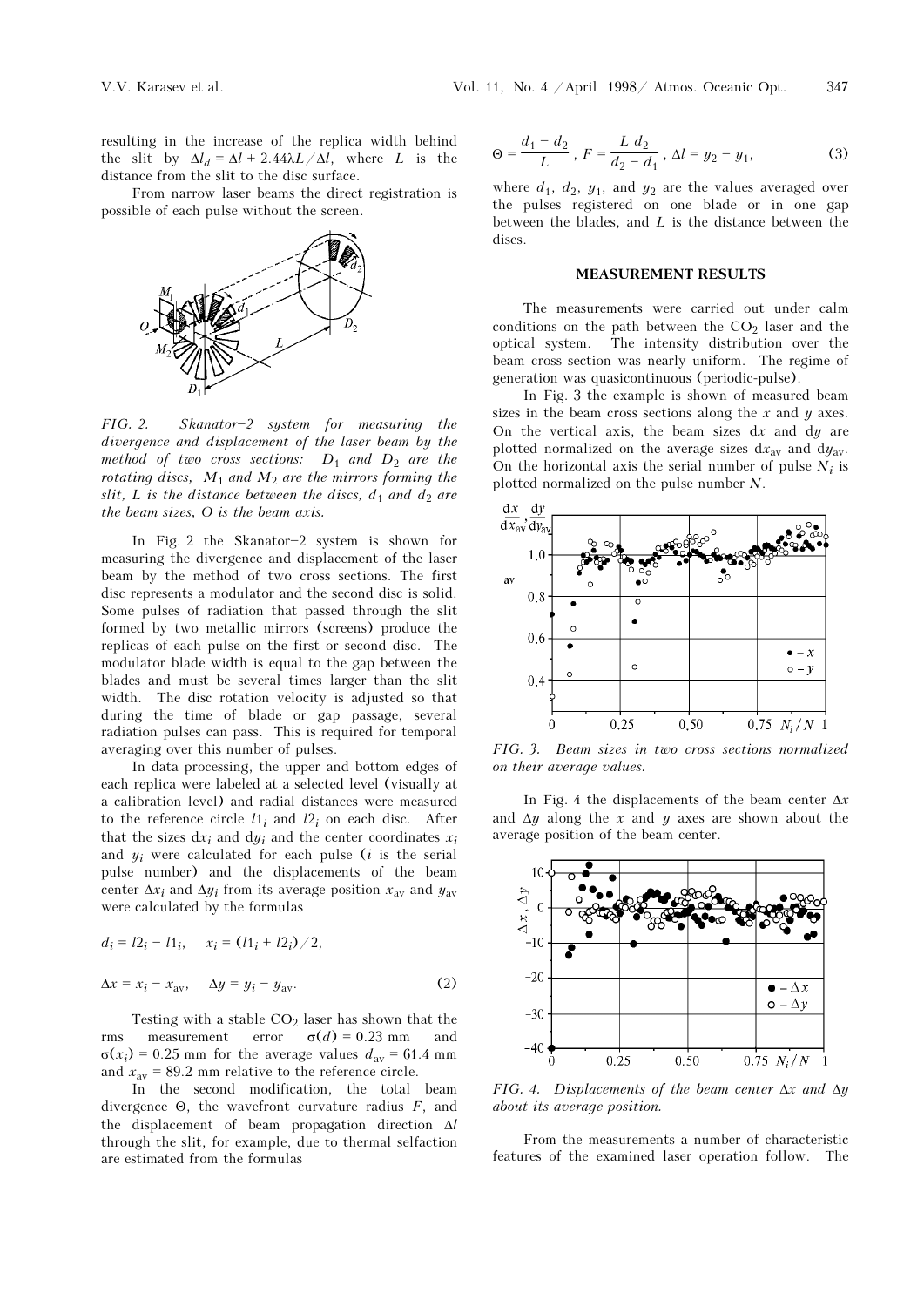resulting in the increase of the replica width behind the slit by  $\Delta l_d = \Delta l + 2.44\lambda L/\Delta l$ , where L is the distance from the slit to the disc surface.

From narrow laser beams the direct registration is possible of each pulse without the screen.



 $FIG. 2.$  Skanator-2 system for measuring the divergence and displacement of the laser beam by the method of two cross sections:  $D_1$  and  $D_2$  are the rotating discs,  $M_1$  and  $M_2$  are the mirrors forming the slit, L is the distance between the discs,  $d_1$  and  $d_2$  are the beam sizes, O is the beam axis.

In Fig. 2 the Skanator-2 system is shown for measuring the divergence and displacement of the laser beam by the method of two cross sections. The first disc represents a modulator and the second disc is solid. Some pulses of radiation that passed through the slit formed by two metallic mirrors (screens) produce the replicas of each pulse on the first or second disc. The modulator blade width is equal to the gap between the blades and must be several times larger than the slit width. The disc rotation velocity is adjusted so that during the time of blade or gap passage, several radiation pulses can pass. This is required for temporal averaging over this number of pulses.

In data processing, the upper and bottom edges of each replica were labeled at a selected level (visually at a calibration level) and radial distances were measured to the reference circle  $l1_i$  and  $l2_i$  on each disc. After that the sizes  $dx_i$  and  $dy_i$  and the center coordinates  $x_i$ and  $y_i$  were calculated for each pulse (*i* is the serial pulse number) and the displacements of the beam center  $\Delta x_i$  and  $\Delta y_i$  from its average position  $x_{av}$  and  $y_{av}$ were calculated by the formulas

$$
d_i = 12_i - 11_i, \quad x_i = (11_i + 12_i) / 2,
$$
  

$$
\Delta x = x_i - x_{av}, \quad \Delta y = y_i - y_{av}.
$$
 (2)

Testing with a stable  $CO<sub>2</sub>$  laser has shown that the rms measurement error  $\sigma(d) = 0.23$  mm and  $\sigma(x_i) = 0.25$  mm for the average values  $d_{av} = 61.4$  mm and  $x_{\text{av}} = 89.2$  mm relative to the reference circle.

In the second modification, the total beam divergence  $\Theta$ , the wavefront curvature radius  $F$ , and the displacement of beam propagation direction Δl through the slit, for example, due to thermal selfaction are estimated from the formulas

$$
\Theta = \frac{d_1 - d_2}{L}, \ F = \frac{L \ d_2}{d_2 - d_1}, \ \Delta l = y_2 - y_1,\tag{3}
$$

where  $d_1$ ,  $d_2$ ,  $y_1$ , and  $y_2$  are the values averaged over the pulses registered on one blade or in one gap between the blades, and  $L$  is the distance between the discs.

#### MEASUREMENT RESULTS

The measurements were carried out under calm conditions on the path between the  $CO<sub>2</sub>$  laser and the optical system. The intensity distribution over the beam cross section was nearly uniform. The regime of generation was quasicontinuous (periodic-pulse).

In Fig. 3 the example is shown of measured beam sizes in the beam cross sections along the  $x$  and  $y$  axes. On the vertical axis, the beam sizes  $dx$  and  $dy$  are plotted normalized on the average sizes  $dx_{av}$  and  $dy_{av}$ . On the horizontal axis the serial number of pulse  $N_i$  is plotted normalized on the pulse number N.



FIG. 3. Beam sizes in two cross sections normalized on their average values.

In Fig. 4 the displacements of the beam center  $\Delta x$ and  $\Delta y$  along the x and y axes are shown about the average position of the beam center.



FIG. 4. Displacements of the beam center  $\Delta x$  and  $\Delta y$ about its average position.

From the measurements a number of characteristic features of the examined laser operation follow. The